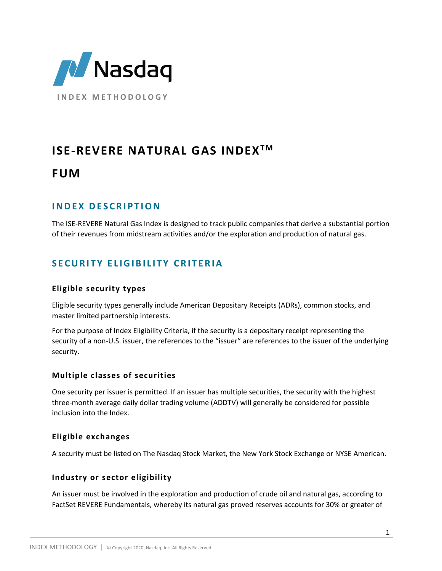

# **ISE-REVERE NATURAL GAS INDEX<sup>™</sup>**

# **FUM**

# **I N D E X D E S C R I P T I O N**

The ISE-REVERE Natural Gas Index is designed to track public companies that derive a substantial portion of their revenues from midstream activities and/or the exploration and production of natural gas.

# **S E C U R I T Y E L I G I B I L I T Y C R I T E R I A**

### **Eligible security types**

Eligible security types generally include American Depositary Receipts (ADRs), common stocks, and master limited partnership interests.

For the purpose of Index Eligibility Criteria, if the security is a depositary receipt representing the security of a non-U.S. issuer, the references to the "issuer" are references to the issuer of the underlying security.

### **Multiple classes of securities**

One security per issuer is permitted. If an issuer has multiple securities, the security with the highest three-month average daily dollar trading volume (ADDTV) will generally be considered for possible inclusion into the Index.

#### **Eligible exchanges**

A security must be listed on The Nasdaq Stock Market, the New York Stock Exchange or NYSE American.

#### **Industry or sector eligibility**

An issuer must be involved in the exploration and production of crude oil and natural gas, according to FactSet REVERE Fundamentals, whereby its natural gas proved reserves accounts for 30% or greater of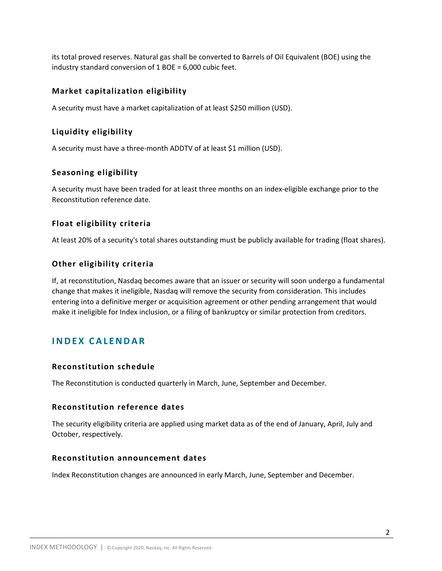its total proved reserves. Natural gas shall be converted to Barrels of Oil Equivalent (BOE) using the industry standard conversion of 1 BOE = 6,000 cubic feet.

#### **Market capitalization eligibility**

A security must have a market capitalization of at least \$250 million (USD).

#### **Liquidity eligibility**

A security must have a three-month ADDTV of at least \$1 million (USD).

#### **Seasoning eligibility**

A security must have been traded for at least three months on an index-eligible exchange prior to the Reconstitution reference date.

#### **Float eligibility criteria**

At least 20% of a security's total shares outstanding must be publicly available for trading (float shares).

#### **Other eligibility criteria**

If, at reconstitution, Nasdaq becomes aware that an issuer or security will soon undergo a fundamental change that makes it ineligible, Nasdaq will remove the security from consideration. This includes entering into a definitive merger or acquisition agreement or other pending arrangement that would make it ineligible for Index inclusion, or a filing of bankruptcy or similar protection from creditors.

## **I N D E X C A L E N D A R**

#### **Reconstitution schedule**

The Reconstitution is conducted quarterly in March, June, September and December.

#### **Reconstitution reference dates**

The security eligibility criteria are applied using market data as of the end of January, April, July and October, respectively.

#### **Reconstitution announcement dates**

Index Reconstitution changes are announced in early March, June, September and December.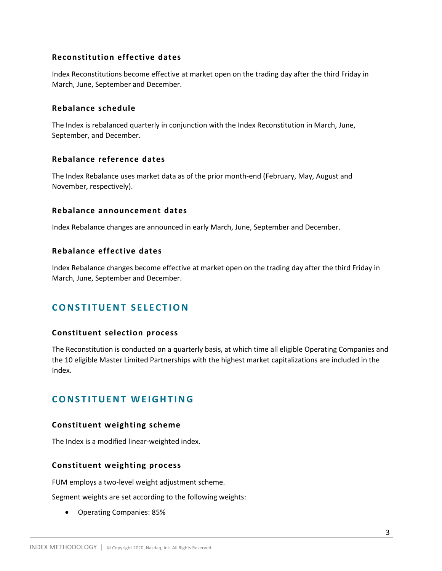#### **Reconstitution effective dates**

Index Reconstitutions become effective at market open on the trading day after the third Friday in March, June, September and December.

#### **Rebalance schedule**

The Index is rebalanced quarterly in conjunction with the Index Reconstitution in March, June, September, and December.

#### **Rebalance reference dates**

The Index Rebalance uses market data as of the prior month-end (February, May, August and November, respectively).

#### **Rebalance announcement dates**

Index Rebalance changes are announced in early March, June, September and December.

#### **Rebalance effective dates**

Index Rebalance changes become effective at market open on the trading day after the third Friday in March, June, September and December.

# **CONSTITUENT SELECTION**

#### **Constituent selection process**

The Reconstitution is conducted on a quarterly basis, at which time all eligible Operating Companies and the 10 eligible Master Limited Partnerships with the highest market capitalizations are included in the Index.

## **CONSTITUENT WEIGHTING**

#### **Constituent weighting scheme**

The Index is a modified linear-weighted index.

#### **Constituent weighting process**

FUM employs a two-level weight adjustment scheme.

Segment weights are set according to the following weights:

Operating Companies: 85%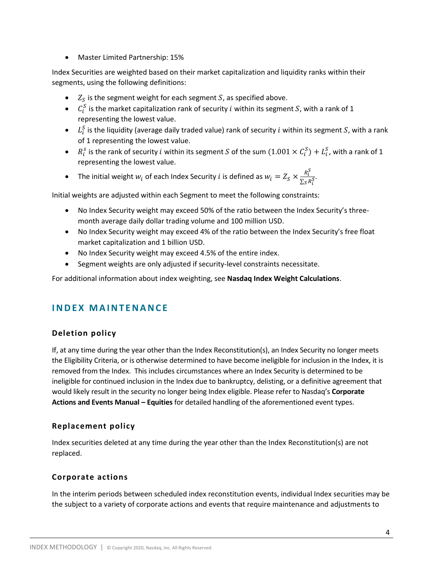Master Limited Partnership: 15%

Index Securities are weighted based on their market capitalization and liquidity ranks within their segments, using the following definitions:

- $\bullet$   $Z_S$  is the segment weight for each segment S, as specified above.
- $C_i^S$  is the market capitalization rank of security *i* within its segment S, with a rank of 1 representing the lowest value.
- $\bullet$   $L_i^S$  is the liquidity (average daily traded value) rank of security *i* within its segment S, with a rank of 1 representing the lowest value.
- $R_i^s$  is the rank of security i within its segment S of the sum  $(1.001 \times C_i^S) + L_i^S$ , with a rank of 1 representing the lowest value.
- The initial weight  $w_i$  of each Index Security *i* is defined as  $w_i = Z_S \times \frac{R_i^S}{\sum_{i=1}^{S} R_i^S}$  $\frac{n_i}{\sum_{S} R_i^S}$ .

Initial weights are adjusted within each Segment to meet the following constraints:

- No Index Security weight may exceed 50% of the ratio between the Index Security's threemonth average daily dollar trading volume and 100 million USD.
- No Index Security weight may exceed 4% of the ratio between the Index Security's free float market capitalization and 1 billion USD.
- No Index Security weight may exceed 4.5% of the entire index.
- Segment weights are only adjusted if security-level constraints necessitate.

For additional information about index weighting, see **Nasdaq Index Weight Calculations**.

# **I N D E X M A I N T E N A N C E**

### **Deletion policy**

If, at any time during the year other than the Index Reconstitution(s), an Index Security no longer meets the Eligibility Criteria, or is otherwise determined to have become ineligible for inclusion in the Index, it is removed from the Index. This includes circumstances where an Index Security is determined to be ineligible for continued inclusion in the Index due to bankruptcy, delisting, or a definitive agreement that would likely result in the security no longer being Index eligible. Please refer to Nasdaq's **Corporate Actions and Events Manual – Equities** for detailed handling of the aforementioned event types.

#### **Replacement policy**

Index securities deleted at any time during the year other than the Index Reconstitution(s) are not replaced.

#### **Corporate actions**

In the interim periods between scheduled index reconstitution events, individual Index securities may be the subject to a variety of corporate actions and events that require maintenance and adjustments to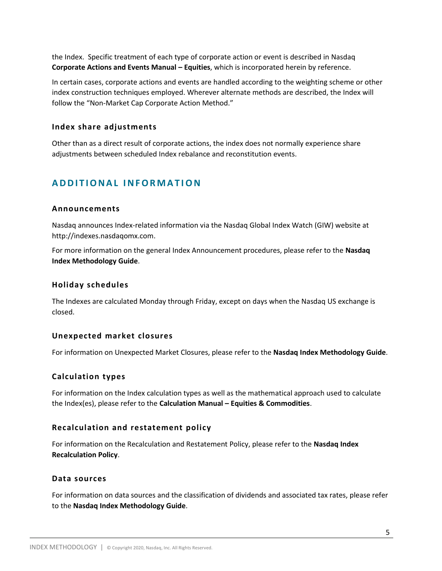the Index. Specific treatment of each type of corporate action or event is described in Nasdaq **Corporate Actions and Events Manual – Equities**, which is incorporated herein by reference.

In certain cases, corporate actions and events are handled according to the weighting scheme or other index construction techniques employed. Wherever alternate methods are described, the Index will follow the "Non-Market Cap Corporate Action Method."

#### **Index share adjustments**

Other than as a direct result of corporate actions, the index does not normally experience share adjustments between scheduled Index rebalance and reconstitution events.

# **A D D I T I O N A L I N F O R M A T IO N**

#### **Announcements**

Nasdaq announces Index-related information via the Nasdaq Global Index Watch (GIW) website at http://indexes.nasdaqomx.com.

For more information on the general Index Announcement procedures, please refer to the **Nasdaq Index Methodology Guide**.

#### **Holiday schedules**

The Indexes are calculated Monday through Friday, except on days when the Nasdaq US exchange is closed.

#### **Unexpected market closures**

For information on Unexpected Market Closures, please refer to the **Nasdaq Index Methodology Guide**.

#### **Calculation types**

For information on the Index calculation types as well as the mathematical approach used to calculate the Index(es), please refer to the **Calculation Manual – Equities & Commodities**.

#### **Recalculation and restatement policy**

For information on the Recalculation and Restatement Policy, please refer to the **Nasdaq Index Recalculation Policy**.

#### **Data sources**

For information on data sources and the classification of dividends and associated tax rates, please refer to the **Nasdaq Index Methodology Guide**.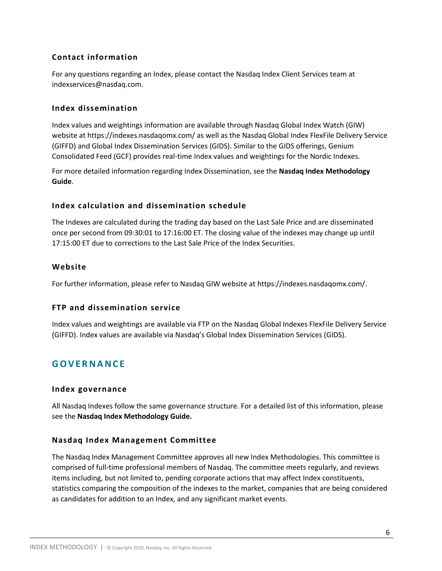#### **Contact information**

For any questions regarding an Index, please contact the Nasdaq Index Client Services team at indexservices@nasdaq.com.

#### **Index dissemination**

Index values and weightings information are available through Nasdaq Global Index Watch (GIW) website at https://indexes.nasdaqomx.com/ as well as the Nasdaq Global Index FlexFile Delivery Service (GIFFD) and Global Index Dissemination Services (GIDS). Similar to the GIDS offerings, Genium Consolidated Feed (GCF) provides real-time Index values and weightings for the Nordic Indexes.

For more detailed information regarding Index Dissemination, see the **Nasdaq Index Methodology Guide**.

#### **Index calculation and dissemination schedule**

The Indexes are calculated during the trading day based on the Last Sale Price and are disseminated once per second from 09:30:01 to 17:16:00 ET. The closing value of the indexes may change up until 17:15:00 ET due to corrections to the Last Sale Price of the Index Securities.

#### **Website**

For further information, please refer to Nasdaq GIW website at https://indexes.nasdaqomx.com/.

#### **FTP and dissemination service**

Index values and weightings are available via FTP on the Nasdaq Global Indexes FlexFile Delivery Service (GIFFD). Index values are available via Nasdaq's Global Index Dissemination Services (GIDS).

## **G O V E R N A N C E**

#### **Index governance**

All Nasdaq Indexes follow the same governance structure. For a detailed list of this information, please see the **Nasdaq Index Methodology Guide.**

#### **Nasdaq Index Management Committee**

The Nasdaq Index Management Committee approves all new Index Methodologies. This committee is comprised of full-time professional members of Nasdaq. The committee meets regularly, and reviews items including, but not limited to, pending corporate actions that may affect Index constituents, statistics comparing the composition of the indexes to the market, companies that are being considered as candidates for addition to an Index, and any significant market events.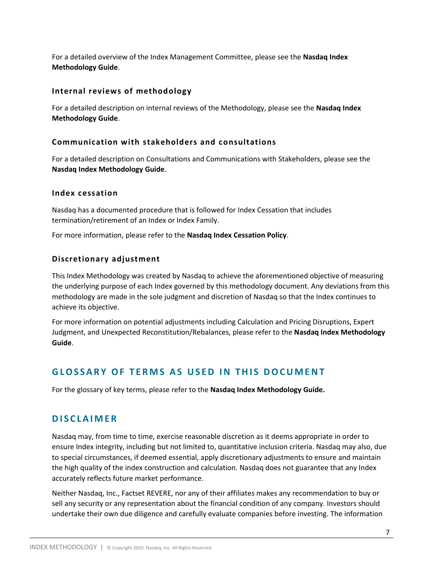For a detailed overview of the Index Management Committee, please see the **Nasdaq Index Methodology Guide**.

#### **Internal reviews of methodology**

For a detailed description on internal reviews of the Methodology, please see the **Nasdaq Index Methodology Guide**.

#### **Communication with stakeholders and consultations**

For a detailed description on Consultations and Communications with Stakeholders, please see the **Nasdaq Index Methodology Guide**.

#### **Index cessation**

Nasdaq has a documented procedure that is followed for Index Cessation that includes termination/retirement of an Index or Index Family.

For more information, please refer to the **Nasdaq Index Cessation Policy**.

#### **Discretionary adjustment**

This Index Methodology was created by Nasdaq to achieve the aforementioned objective of measuring the underlying purpose of each Index governed by this methodology document. Any deviations from this methodology are made in the sole judgment and discretion of Nasdaq so that the Index continues to achieve its objective.

For more information on potential adjustments including Calculation and Pricing Disruptions, Expert Judgment, and Unexpected Reconstitution/Rebalances, please refer to the **Nasdaq Index Methodology Guide**.

# **G L O S S A R Y O F T E R M S A S U S E D I N T H I S D O C U M EN T**

For the glossary of key terms, please refer to the **Nasdaq Index Methodology Guide.**

## **D I S C L A I M E R**

Nasdaq may, from time to time, exercise reasonable discretion as it deems appropriate in order to ensure Index integrity, including but not limited to, quantitative inclusion criteria. Nasdaq may also, due to special circumstances, if deemed essential, apply discretionary adjustments to ensure and maintain the high quality of the index construction and calculation. Nasdaq does not guarantee that any Index accurately reflects future market performance.

Neither Nasdaq, Inc., Factset REVERE, nor any of their affiliates makes any recommendation to buy or sell any security or any representation about the financial condition of any company. Investors should undertake their own due diligence and carefully evaluate companies before investing. The information